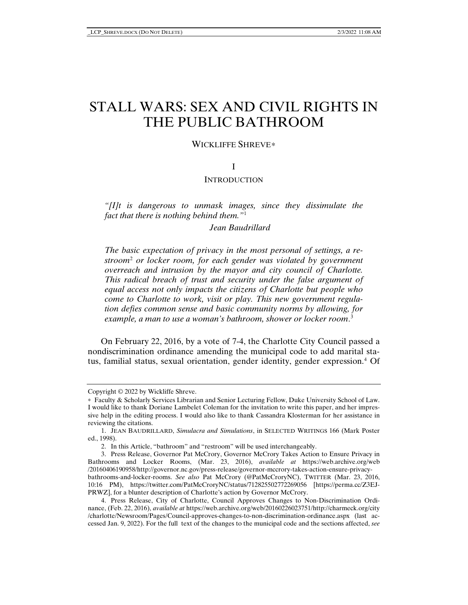# STALL WARS: SEX AND CIVIL RIGHTS IN THE PUBLIC BATHROOM

## WICKLIFFE SHREVE<sup>\*</sup>

# I

#### **INTRODUCTION**

*"[I]t is dangerous to unmask images, since they dissimulate the fact that there is nothing behind them."*[1](#page-0-1)

*Jean Baudrillard*

*The basic expectation of privacy in the most personal of settings, a restroom*[2](#page-0-2) *or locker room, for each gender was violated by government overreach and intrusion by the mayor and city council of Charlotte. This radical breach of trust and security under the false argument of equal access not only impacts the citizens of Charlotte but people who come to Charlotte to work, visit or play. This new government regulation defies common sense and basic community norms by allowing, for example, a man to use a woman's bathroom, shower or locker room*. [3](#page-0-3)

On February 22, 2016, by a vote of 7-4, the Charlotte City Council passed a nondiscrimination ordinance amending the municipal code to add marital status, familial status, sexual orientation, gender identity, gender expression.[4](#page-0-4) Of

<span id="page-0-0"></span>Copyright © 2022 by Wickliffe Shreve.

<sup>∗</sup> Faculty & Scholarly Services Librarian and Senior Lecturing Fellow, Duke University School of Law. I would like to thank Doriane Lambelet Coleman for the invitation to write this paper, and her impressive help in the editing process. I would also like to thank Cassandra Klosterman for her assistance in reviewing the citations.

<span id="page-0-1"></span><sup>1.</sup> JEAN BAUDRILLARD, *Simulacra and Simulations*, in SELECTED WRITINGS 166 (Mark Poster ed., 1998).

<sup>2.</sup> In this Article, "bathroom" and "restroom" will be used interchangeably.

<span id="page-0-3"></span><span id="page-0-2"></span><sup>3.</sup> Press Release, Governor Pat McCrory, Governor McCrory Takes Action to Ensure Privacy in Bathrooms and Locker Rooms, (Mar. 23, 2016), *available at* https://web.archive.org/web /20160406190958/http://governor.nc.gov/press-release/governor-mccrory-takes-action-ensure-privacybathrooms-and-locker-rooms. *See also* Pat McCrory (@PatMcCroryNC), TWITTER (Mar. 23, 2016, 10:16 PM), https://twitter.com/PatMcCroryNC/status/712825502772269056 [https://perma.cc/Z3EJ-PRWZ], for a blunter description of Charlotte's action by Governor McCrory.

<span id="page-0-4"></span><sup>4.</sup> Press Release, City of Charlotte, Council Approves Changes to Non-Discrimination Ordinance, (Feb. 22, 2016), *available at* https://web.archive.org/web/20160226023751/http://charmeck.org/city /charlotte/Newsroom/Pages/Council-approves-changes-to-non-discrimination-ordinance.aspx (last accessed Jan. 9, 2022). For the full text of the changes to the municipal code and the sections affected, *see*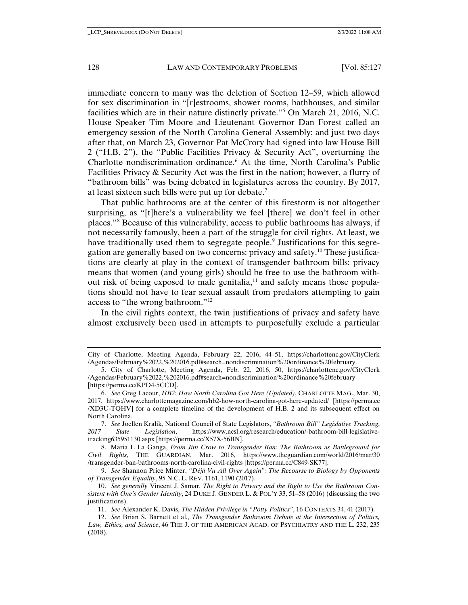immediate concern to many was the deletion of Section 12–59, which allowed for sex discrimination in "[r]estrooms, shower rooms, bathhouses, and similar facilities which are in their nature distinctly private."[5](#page-1-0) On March 21, 2016, N.C. House Speaker Tim Moore and Lieutenant Governor Dan Forest called an emergency session of the North Carolina General Assembly; and just two days after that, on March 23, Governor Pat McCrory had signed into law House Bill 2 ("H.B. 2"), the "Public Facilities Privacy & Security Act", overturning the Charlotte nondiscrimination ordinance.[6](#page-1-1) At the time, North Carolina's Public Facilities Privacy & Security Act was the first in the nation; however, a flurry of "bathroom bills" was being debated in legislatures across the country. By 2017, at least sixteen such bills were put up for debate.[7](#page-1-2)

That public bathrooms are at the center of this firestorm is not altogether surprising, as "[t]here's a vulnerability we feel [there] we don't feel in other places."[8](#page-1-3) Because of this vulnerability, access to public bathrooms has always, if not necessarily famously, been a part of the struggle for civil rights. At least, we have traditionally used them to segregate people.<sup>[9](#page-1-4)</sup> Justifications for this segregation are generally based on two concerns: privacy and safety.[10](#page-1-5) These justifications are clearly at play in the context of transgender bathroom bills: privacy means that women (and young girls) should be free to use the bathroom without risk of being exposed to male genitalia, $11$  and safety means those populations should not have to fear sexual assault from predators attempting to gain access to "the wrong bathroom."[12](#page-1-7)

In the civil rights context, the twin justifications of privacy and safety have almost exclusively been used in attempts to purposefully exclude a particular

City of Charlotte, Meeting Agenda, February 22, 2016, 44–51, https://charlottenc.gov/CityClerk /Agendas/February%2022,%202016.pdf#search=nondiscrimination%20ordinance%20february.

<span id="page-1-0"></span><sup>5.</sup> City of Charlotte, Meeting Agenda, Feb. 22, 2016, 50, https://charlottenc.gov/CityClerk /Agendas/February%2022,%202016.pdf#search=nondiscrimination%20ordinance%20february [https://perma.cc/KPD4-5CCD].

<span id="page-1-1"></span><sup>6.</sup> *See* Greg Lacour, *HB2: How North Carolina Got Here (Updated)*, CHARLOTTE MAG., Mar. 30, 2017, https://www.charlottemagazine.com/hb2-how-north-carolina-got-here-updated/ [https://perma.cc /XD3U-TQHV] for a complete timeline of the development of H.B. 2 and its subsequent effect on North Carolina.

<span id="page-1-2"></span><sup>7.</sup> *See* Joellen Kralik, National Council of State Legislators, *"Bathroom Bill" Legislative Tracking*, *2017 State Legislation*, https://www.ncsl.org/research/education/-bathroom-bill-legislativetracking635951130.aspx [https://perma.cc/X57X-56BN].

<span id="page-1-3"></span><sup>8.</sup> Maria L La Ganga, *From Jim Crow to Transgender Ban: The Bathroom as Battleground for Civil Rights*, THE GUARDIAN, Mar. 2016, https://www.theguardian.com/world/2016/mar/30 /transgender-ban-bathrooms-north-carolina-civil-rights [https://perma.cc/C849-SK77].

<span id="page-1-4"></span><sup>9.</sup> *See* Shannon Price Minter, *"Déjà Vu All Over Again": The Recourse to Biology by Opponents of Transgender Equality*, 95 N.C. L. REV. 1161, 1190 (2017).

<span id="page-1-5"></span><sup>10.</sup> *See generally* Vincent J. Samar, *The Right to Privacy and the Right to Use the Bathroom Consistent with One's Gender Identity*, 24 DUKE J. GENDER L. & POL'Y 33, 51–58 (2016) (discussing the two justifications).

<sup>11.</sup> *See* Alexander K. Davis, *The Hidden Privilege in "Potty Politics"*, 16 CONTEXTS 34, 41 (2017).

<span id="page-1-7"></span><span id="page-1-6"></span><sup>12.</sup> *See* Brian S. Barnett et al., *The Transgender Bathroom Debate at the Intersection of Politics, Law, Ethics, and Science*, 46 THE J. OF THE AMERICAN ACAD. OF PSYCHIATRY AND THE L. 232, 235 (2018).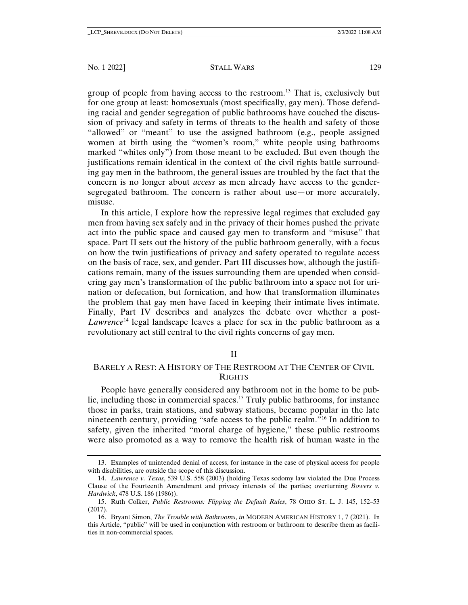group of people from having access to the restroom.[13](#page-2-0) That is, exclusively but for one group at least: homosexuals (most specifically, gay men). Those defending racial and gender segregation of public bathrooms have couched the discussion of privacy and safety in terms of threats to the health and safety of those "allowed" or "meant" to use the assigned bathroom (e.g., people assigned women at birth using the "women's room," white people using bathrooms marked "whites only") from those meant to be excluded. But even though the justifications remain identical in the context of the civil rights battle surrounding gay men in the bathroom, the general issues are troubled by the fact that the concern is no longer about *access* as men already have access to the gendersegregated bathroom. The concern is rather about use—or more accurately, misuse.

In this article, I explore how the repressive legal regimes that excluded gay men from having sex safely and in the privacy of their homes pushed the private act into the public space and caused gay men to transform and "misuse" that space. Part II sets out the history of the public bathroom generally, with a focus on how the twin justifications of privacy and safety operated to regulate access on the basis of race, sex, and gender. Part III discusses how, although the justifications remain, many of the issues surrounding them are upended when considering gay men's transformation of the public bathroom into a space not for urination or defecation, but fornication, and how that transformation illuminates the problem that gay men have faced in keeping their intimate lives intimate. Finally, Part IV describes and analyzes the debate over whether a post-*Lawrence*[14](#page-2-1) legal landscape leaves a place for sex in the public bathroom as a revolutionary act still central to the civil rights concerns of gay men.

## II

# BARELY A REST: A HISTORY OF THE RESTROOM AT THE CENTER OF CIVIL **RIGHTS**

People have generally considered any bathroom not in the home to be public, including those in commercial spaces.[15](#page-2-2) Truly public bathrooms, for instance those in parks, train stations, and subway stations, became popular in the late nineteenth century, providing "safe access to the public realm."[16](#page-2-3) In addition to safety, given the inherited "moral charge of hygiene," these public restrooms were also promoted as a way to remove the health risk of human waste in the

<span id="page-2-0"></span><sup>13.</sup> Examples of unintended denial of access, for instance in the case of physical access for people with disabilities, are outside the scope of this discussion.

<span id="page-2-1"></span><sup>14.</sup> *Lawrence v. Texas*, 539 U.S. 558 (2003) (holding Texas sodomy law violated the Due Process Clause of the Fourteenth Amendment and privacy interests of the parties; overturning *Bowers v. Hardwick*, 478 U.S. 186 (1986)).

<span id="page-2-2"></span><sup>15.</sup> Ruth Colker, *Public Restrooms: Flipping the Default Rules*, 78 OHIO ST. L. J. 145, 152–53 (2017).

<span id="page-2-3"></span><sup>16.</sup> Bryant Simon, *The Trouble with Bathrooms*, *in* MODERN AMERICAN HISTORY 1, 7 (2021). In this Article, "public" will be used in conjunction with restroom or bathroom to describe them as facilities in non-commercial spaces.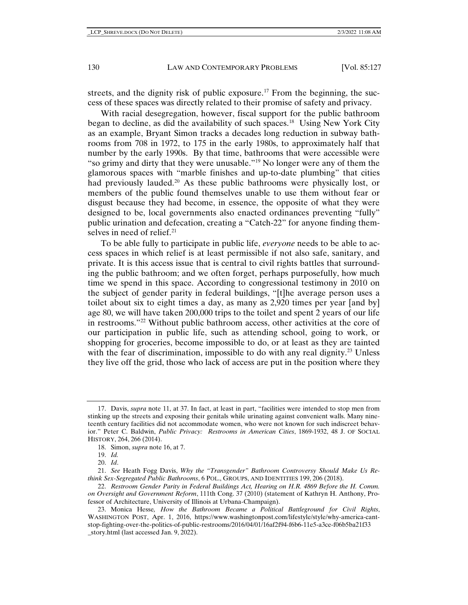streets, and the dignity risk of public exposure.<sup>17</sup> From the beginning, the success of these spaces was directly related to their promise of safety and privacy.

With racial desegregation, however, fiscal support for the public bathroom began to decline, as did the availability of such spaces[.18](#page-3-1) Using New York City as an example, Bryant Simon tracks a decades long reduction in subway bathrooms from 708 in 1972, to 175 in the early 1980s, to approximately half that number by the early 1990s. By that time, bathrooms that were accessible were "so grimy and dirty that they were unusable."[19](#page-3-2) No longer were any of them the glamorous spaces with "marble finishes and up-to-date plumbing" that cities had previously lauded.<sup>20</sup> As these public bathrooms were physically lost, or members of the public found themselves unable to use them without fear or disgust because they had become, in essence, the opposite of what they were designed to be, local governments also enacted ordinances preventing "fully" public urination and defecation, creating a "Catch-22" for anyone finding them-selves in need of relief.<sup>[21](#page-3-4)</sup>

To be able fully to participate in public life, *everyone* needs to be able to access spaces in which relief is at least permissible if not also safe, sanitary, and private. It is this access issue that is central to civil rights battles that surrounding the public bathroom; and we often forget, perhaps purposefully, how much time we spend in this space. According to congressional testimony in 2010 on the subject of gender parity in federal buildings, "[t]he average person uses a toilet about six to eight times a day, as many as 2,920 times per year [and by] age 80, we will have taken 200,000 trips to the toilet and spent 2 years of our life in restrooms."[22](#page-3-5) Without public bathroom access, other activities at the core of our participation in public life, such as attending school, going to work, or shopping for groceries, become impossible to do, or at least as they are tainted with the fear of discrimination, impossible to do with any real dignity.<sup>[23](#page-3-6)</sup> Unless they live off the grid, those who lack of access are put in the position where they

<span id="page-3-0"></span><sup>17.</sup> Davis, *supra* note 11, at 37. In fact, at least in part, "facilities were intended to stop men from stinking up the streets and exposing their genitals while urinating against convenient walls. Many nineteenth century facilities did not accommodate women, who were not known for such indiscreet behavior." Peter C. Baldwin, *Public Privacy: Restrooms in American Cities*, 1869-1932, 48 J. OF SOCIAL HISTORY, 264, 266 (2014).

<sup>18.</sup> Simon, *supra* note 16, at 7.

<sup>19.</sup> *Id.*

<sup>20.</sup> *Id*.

<span id="page-3-4"></span><span id="page-3-3"></span><span id="page-3-2"></span><span id="page-3-1"></span><sup>21.</sup> *See* Heath Fogg Davis, *Why the "Transgender" Bathroom Controversy Should Make Us Rethink Sex-Segregated Public Bathrooms*, 6 POL., GROUPS, AND IDENTITIES 199, 206 (2018).

<span id="page-3-5"></span><sup>22.</sup> *Restroom Gender Parity in Federal Buildings Act, Hearing on H.R. 4869 Before the H. Comm. on Oversight and Government Reform*, 111th Cong. 37 (2010) (statement of Kathryn H. Anthony, Professor of Architecture, University of Illinois at Urbana-Champaign).

<span id="page-3-6"></span><sup>23.</sup> Monica Hesse*, How the Bathroom Became a Political Battleground for Civil Rights*, WASHINGTON POST, Apr. 1, 2016, https://www.washingtonpost.com/lifestyle/style/why-america-cantstop-fighting-over-the-politics-of-public-restrooms/2016/04/01/16af2f94-f6b6-11e5-a3ce-f06b5ba21f33 \_story.html (last accessed Jan. 9, 2022).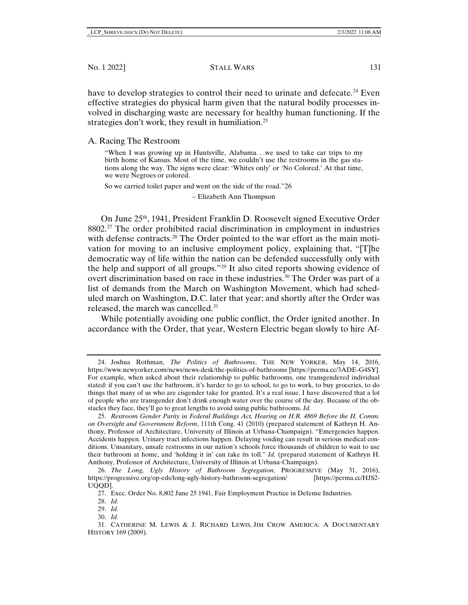have to develop strategies to control their need to urinate and defecate.<sup>[24](#page-4-0)</sup> Even effective strategies do physical harm given that the natural bodily processes involved in discharging waste are necessary for healthy human functioning. If the strategies don't work, they result in humiliation.<sup>[25](#page-4-1)</sup>

#### A. Racing The Restroom

"When I was growing up in Huntsville, Alabama. . .we used to take car trips to my birth home of Kansas. Most of the time, we couldn't use the restrooms in the gas stations along the way. The signs were clear: 'Whites only' or 'No Colored.' At that time, we were Negroes or colored.

So we carried toilet paper and went on the side of the road."[26](#page-4-2)

– Elizabeth Ann Thompson

On June 25th, 1941, President Franklin D. Roosevelt signed Executive Order 8802.[27](#page-4-3) The order prohibited racial discrimination in employment in industries with defense contracts.<sup>[28](#page-4-4)</sup> The Order pointed to the war effort as the main motivation for moving to an inclusive employment policy, explaining that, "[T]he democratic way of life within the nation can be defended successfully only with the help and support of all groups."[29](#page-4-5) It also cited reports showing evidence of overt discrimination based on race in these industries.<sup>[30](#page-4-6)</sup> The Order was part of a list of demands from the March on Washington Movement, which had scheduled march on Washington, D.C. later that year; and shortly after the Order was released, the march was cancelled.<sup>[31](#page-4-7)</sup>

While potentially avoiding one public conflict, the Order ignited another. In accordance with the Order, that year, Western Electric began slowly to hire Af-

<span id="page-4-0"></span><sup>24.</sup> Joshua Rothman, *The Politics of Bathrooms*, THE NEW YORKER, May 14, 2016, https://www.newyorker.com/news/news-desk/the-politics-of-bathrooms [https://perma.cc/3ADE-G4SY]. For example, when asked about their relationship to public bathrooms, one transgendered individual stated: if you can't use the bathroom, it's harder to go to school, to go to work, to buy groceries, to do things that many of us who are cisgender take for granted. It's a real issue. I have discovered that a lot of people who are transgender don't drink enough water over the course of the day. Because of the obstacles they face, they'll go to great lengths to avoid using public bathrooms. *Id.*

<span id="page-4-1"></span><sup>25.</sup> *Restroom Gender Parity in Federal Buildings Act, Hearing on H.R. 4869 Before the H. Comm. on Oversight and Government Reform*, 111th Cong. 41 (2010) (prepared statement of Kathryn H. Anthony, Professor of Architecture, University of Illinois at Urbana-Champaign). "Emergencies happen. Accidents happen. Urinary tract infections happen. Delaying voiding can result in serious medical conditions. Unsanitary, unsafe restrooms in our nation's schools force thousands of children to wait to use their bathroom at home, and 'holding it in' can take its toll." *Id.* (prepared statement of Kathryn H. Anthony, Professor of Architecture, University of Illinois at Urbana-Champaign).

<span id="page-4-3"></span><span id="page-4-2"></span><sup>26.</sup> *The Long, Ugly History of Bathroom Segregation*, PROGRESSIVE (May 31, 2016), https://progressive.org/op-eds/long-ugly-history-bathroom-segregation/ [https://perma.cc/HJS2- UQQD].

<sup>27.</sup> Exec. Order No. 8,802 June 25 1941, Fair Employment Practice in Defense Industries.

<sup>28.</sup> *Id.*

<sup>29.</sup> *Id.*

<sup>30.</sup> *Id.*

<span id="page-4-7"></span><span id="page-4-6"></span><span id="page-4-5"></span><span id="page-4-4"></span><sup>31.</sup> CATHERINE M. LEWIS & J. RICHARD LEWIS, JIM CROW AMERICA: A DOCUMENTARY HISTORY 169 (2009).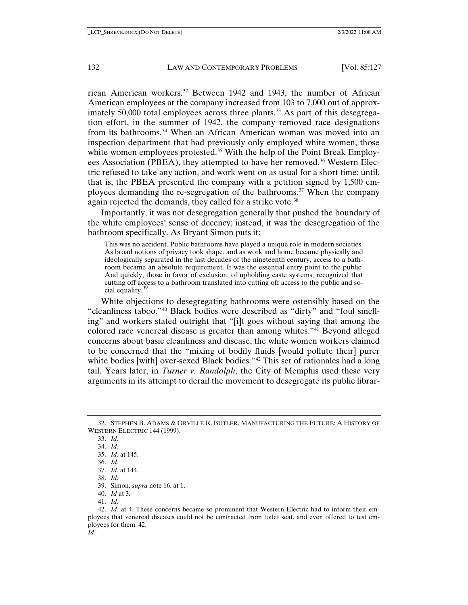rican American workers.[32](#page-5-0) Between 1942 and 1943, the number of African American employees at the company increased from 103 to 7,000 out of approx-imately 50,000 total employees across three plants.<sup>[33](#page-5-1)</sup> As part of this desegregation effort, in the summer of 1942, the company removed race designations from its bathrooms.[34](#page-5-2) When an African American woman was moved into an inspection department that had previously only employed white women, those white women employees protested.<sup>[35](#page-5-3)</sup> With the help of the Point Break Employ-ees Association (PBEA), they attempted to have her removed.<sup>[36](#page-5-4)</sup> Western Electric refused to take any action, and work went on as usual for a short time; until, that is, the PBEA presented the company with a petition signed by 1,500 employees demanding the re-segregation of the bathrooms.[37](#page-5-5) When the company again rejected the demands, they called for a strike vote.<sup>[38](#page-5-6)</sup>

Importantly, it was not desegregation generally that pushed the boundary of the white employees' sense of decency; instead, it was the desegregation of the bathroom specifically. As Bryant Simon puts it:

This was no accident. Public bathrooms have played a unique role in modern societies. As broad notions of privacy took shape, and as work and home became physically and ideologically separated in the last decades of the nineteenth century, access to a bathroom became an absolute requirement. It was the essential entry point to the public. And quickly, those in favor of exclusion, of upholding caste systems, recognized that cutting off access to a bathroom translated into cutting off access to the public and so-cial equality.<sup>[39](#page-5-7)</sup>

White objections to desegregating bathrooms were ostensibly based on the "cleanliness taboo."[40](#page-5-8) Black bodies were described as "dirty" and "foul smelling" and workers stated outright that "[i]t goes without saying that among the colored race venereal disease is greater than among whites.["41](#page-5-9) Beyond alleged concerns about basic cleanliness and disease, the white women workers claimed to be concerned that the "mixing of bodily fluids [would pollute their] purer white bodies [with] over-sexed Black bodies."<sup>[42](#page-5-10)</sup> This set of rationales had a long tail. Years later, in *Turner v. Randolph*, the City of Memphis used these very arguments in its attempt to derail the movement to desegregate its public librar-

39. Simon, *supra* note 16, at 1.

<span id="page-5-4"></span><span id="page-5-3"></span><span id="page-5-2"></span><span id="page-5-1"></span><span id="page-5-0"></span><sup>32.</sup> STEPHEN B. ADAMS & ORVILLE R. BUTLER, MANUFACTURING THE FUTURE: A HISTORY OF WESTERN ELECTRIC 144 (1999).

<sup>33.</sup> *Id.*

<sup>34.</sup> *Id.*

<sup>35.</sup> *Id.* at 145.

<sup>36.</sup> *Id.*

<sup>37.</sup> *Id.* at 144.

<sup>38.</sup> *Id.*

<sup>40.</sup> *Id* at 3.

<sup>41.</sup> *Id*.

<span id="page-5-10"></span><span id="page-5-9"></span><span id="page-5-8"></span><span id="page-5-7"></span><span id="page-5-6"></span><span id="page-5-5"></span><sup>42.</sup> *Id.* at 4. These concerns became so prominent that Western Electric had to inform their employees that venereal diseases could not be contracted from toilet seat, and even offered to test employees for them. 42. *Id.*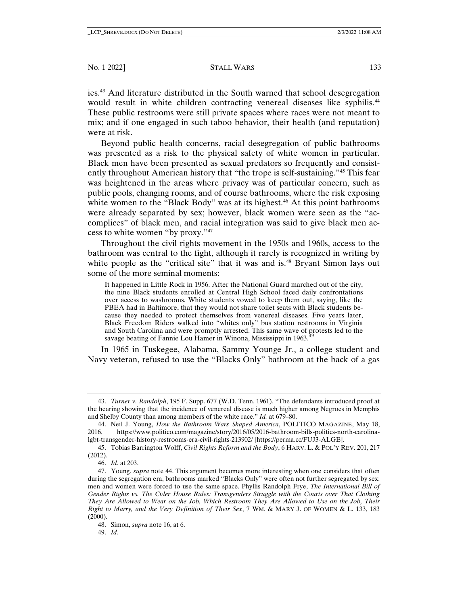ies.[43](#page-6-0) And literature distributed in the South warned that school desegregation would result in white children contracting venereal diseases like syphilis.<sup>44</sup> These public restrooms were still private spaces where races were not meant to mix; and if one engaged in such taboo behavior, their health (and reputation) were at risk.

Beyond public health concerns, racial desegregation of public bathrooms was presented as a risk to the physical safety of white women in particular. Black men have been presented as sexual predators so frequently and consistently throughout American history that "the trope is self-sustaining."[45](#page-6-2) This fear was heightened in the areas where privacy was of particular concern, such as public pools, changing rooms, and of course bathrooms, where the risk exposing white women to the "Black Body" was at its highest.<sup>[46](#page-6-3)</sup> At this point bathrooms were already separated by sex; however, black women were seen as the "accomplices" of black men, and racial integration was said to give black men access to white women "by proxy."[47](#page-6-4)

Throughout the civil rights movement in the 1950s and 1960s, access to the bathroom was central to the fight, although it rarely is recognized in writing by white people as the "critical site" that it was and is.<sup>[48](#page-6-5)</sup> Bryant Simon lays out some of the more seminal moments:

It happened in Little Rock in 1956. After the National Guard marched out of the city, the nine Black students enrolled at Central High School faced daily confrontations over access to washrooms. White students vowed to keep them out, saying, like the PBEA had in Baltimore, that they would not share toilet seats with Black students because they needed to protect themselves from venereal diseases. Five years later, Black Freedom Riders walked into "whites only" bus station restrooms in Virginia and South Carolina and were promptly arrested. This same wave of protests led to the savage beating of Fannie Lou Hamer in Winona, Mississippi in 1963.

In 1965 in Tuskegee, Alabama, Sammy Younge Jr., a college student and Navy veteran, refused to use the "Blacks Only" bathroom at the back of a gas

46. *Id.* at 203.

<span id="page-6-0"></span><sup>43.</sup> *Turner v. Randolph*, 195 F. Supp. 677 (W.D. Tenn. 1961). "The defendants introduced proof at the hearing showing that the incidence of venereal disease is much higher among Negroes in Memphis and Shelby County than among members of the white race." *Id.* at 679–80.

<span id="page-6-1"></span><sup>44.</sup> Neil J. Young, *How the Bathroom Wars Shaped America*, POLITICO MAGAZINE, May 18, 2016, https://www.politico.com/magazine/story/2016/05/2016-bathroom-bills-politics-north-carolinalgbt-transgender-history-restrooms-era-civil-rights-213902/ [https://perma.cc/FUJ3-ALGE].

<span id="page-6-2"></span><sup>45.</sup> Tobias Barrington Wolff, *Civil Rights Reform and the Body*, 6 HARV. L. & POL'Y REV. 201, 217 (2012).

<span id="page-6-4"></span><span id="page-6-3"></span><sup>47.</sup> Young, *supra* note 44. This argument becomes more interesting when one considers that often during the segregation era, bathrooms marked "Blacks Only" were often not further segregated by sex: men and women were forced to use the same space. Phyllis Randolph Frye, *The International Bill of Gender Rights vs. The Cider House Rules: Transgenders Struggle with the Courts over That Clothing They Are Allowed to Wear on the Job, Which Restroom They Are Allowed to Use on the Job, Their Right to Marry, and the Very Definition of Their Sex*, 7 WM. & MARY J. OF WOMEN & L. 133, 183  $(2000)$ .

<sup>48.</sup> Simon, *supra* note 16, at 6.

<span id="page-6-6"></span><span id="page-6-5"></span><sup>49.</sup> *Id.*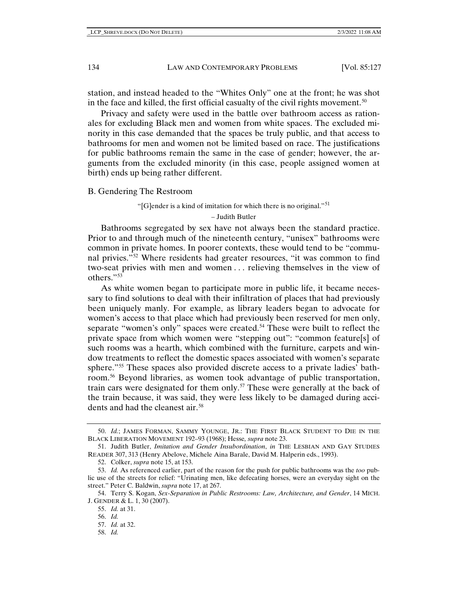station, and instead headed to the "Whites Only" one at the front; he was shot in the face and killed, the first official casualty of the civil rights movement.<sup>[50](#page-7-0)</sup>

Privacy and safety were used in the battle over bathroom access as rationales for excluding Black men and women from white spaces. The excluded minority in this case demanded that the spaces be truly public, and that access to bathrooms for men and women not be limited based on race. The justifications for public bathrooms remain the same in the case of gender; however, the arguments from the excluded minority (in this case, people assigned women at birth) ends up being rather different.

#### B. Gendering The Restroom

# "[G]ender is a kind of imitation for which there is no original."<sup>[51](#page-7-1)</sup>

<span id="page-7-9"></span>– Judith Butler

Bathrooms segregated by sex have not always been the standard practice. Prior to and through much of the nineteenth century, "unisex" bathrooms were common in private homes. In poorer contexts, these would tend to be "communal privies."[52](#page-7-2) Where residents had greater resources, "it was common to find two-seat privies with men and women . . . relieving themselves in the view of others."[53](#page-7-3)

As white women began to participate more in public life, it became necessary to find solutions to deal with their infiltration of places that had previously been uniquely manly. For example, as library leaders began to advocate for women's access to that place which had previously been reserved for men only, separate "women's only" spaces were created.<sup>[54](#page-7-4)</sup> These were built to reflect the private space from which women were "stepping out": "common feature[s] of such rooms was a hearth, which combined with the furniture, carpets and window treatments to reflect the domestic spaces associated with women's separate sphere."[55](#page-7-5) These spaces also provided discrete access to a private ladies' bathroom.[56](#page-7-6) Beyond libraries, as women took advantage of public transportation, train cars were designated for them only.<sup>[57](#page-7-7)</sup> These were generally at the back of the train because, it was said, they were less likely to be damaged during acci-dents and had the cleanest air.<sup>[58](#page-7-8)</sup>

58. *Id.*

<span id="page-7-0"></span><sup>50.</sup> *Id.*; JAMES FORMAN, SAMMY YOUNGE, JR.: THE FIRST BLACK STUDENT TO DIE IN THE BLACK LIBERATION MOVEMENT 192–93 (1968); Hesse*, supra* note 23.

<span id="page-7-1"></span><sup>51.</sup> Judith Butler, *Imitation and Gender Insubordination*, *in* THE LESBIAN AND GAY STUDIES READER 307, 313 (Henry Abelove, Michele Aina Barale, David M. Halperin eds., 1993).

<sup>52.</sup> Colker, *supra* note 15, at 153.

<span id="page-7-3"></span><span id="page-7-2"></span><sup>53.</sup> *Id.* As referenced earlier, part of the reason for the push for public bathrooms was the *too* public use of the streets for relief: "Urinating men, like defecating horses, were an everyday sight on the street." Peter C. Baldwin, *supra* note 17, at 267.

<span id="page-7-8"></span><span id="page-7-7"></span><span id="page-7-6"></span><span id="page-7-5"></span><span id="page-7-4"></span><sup>54.</sup> Terry S. Kogan, *Sex-Separation in Public Restrooms: Law, Architecture, and Gender*, 14 MICH. J. GENDER & L. 1, 30 (2007).

<sup>55.</sup> *Id.* at 31.

<sup>56.</sup> *Id.*

<sup>57.</sup> *Id.* at 32.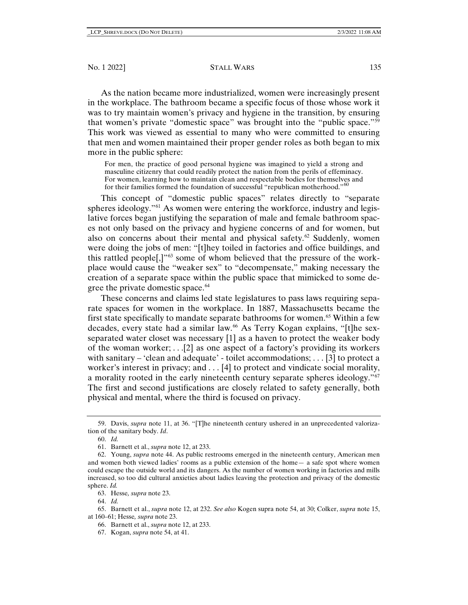As the nation became more industrialized, women were increasingly present in the workplace. The bathroom became a specific focus of those whose work it was to try maintain women's privacy and hygiene in the transition, by ensuring that women's private "domestic space" was brought into the "public space.["59](#page-8-0) This work was viewed as essential to many who were committed to ensuring that men and women maintained their proper gender roles as both began to mix more in the public sphere:

For men, the practice of good personal hygiene was imagined to yield a strong and masculine citizenry that could readily protect the nation from the perils of effeminacy. For women, learning how to maintain clean and respectable bodies for themselves and for their families formed the foundation of successful "republican motherhood."<sup>[60](#page-8-1)</sup>

This concept of "domestic public spaces" relates directly to "separate spheres ideology."<sup>[61](#page-8-2)</sup> As women were entering the workforce, industry and legislative forces began justifying the separation of male and female bathroom spaces not only based on the privacy and hygiene concerns of and for women, but also on concerns about their mental and physical safety. $62$  Suddenly, women were doing the jobs of men: "[t]hey toiled in factories and office buildings, and this rattled people[,]"[63](#page-8-4) some of whom believed that the pressure of the workplace would cause the "weaker sex" to "decompensate," making necessary the creation of a separate space within the public space that mimicked to some de-gree the private domestic space.<sup>[64](#page-8-5)</sup>

These concerns and claims led state legislatures to pass laws requiring separate spaces for women in the workplace. In 1887, Massachusetts became the first state specifically to mandate separate bathrooms for women.<sup>65</sup> Within a few decades, every state had a similar law.<sup>[66](#page-8-7)</sup> As Terry Kogan explains, "[t]he sexseparated water closet was necessary [1] as a haven to protect the weaker body of the woman worker;  $\ldots$  [2] as one aspect of a factory's providing its workers with sanitary – 'clean and adequate' - toilet accommodations; . . . [3] to protect a worker's interest in privacy; and . . . [4] to protect and vindicate social morality, a morality rooted in the early nineteenth century separate spheres ideology."[67](#page-8-8) The first and second justifications are closely related to safety generally, both physical and mental, where the third is focused on privacy.

<span id="page-8-1"></span><span id="page-8-0"></span><sup>59.</sup> Davis, *supra* note 11, at 36. "[T]he nineteenth century ushered in an unprecedented valorization of the sanitary body. *Id*.

<sup>60.</sup> *Id.*

<sup>61.</sup> Barnett et al., *supra* note 12, at 233.

<span id="page-8-3"></span><span id="page-8-2"></span><sup>62.</sup> Young, *supra* note 44. As public restrooms emerged in the nineteenth century, American men and women both viewed ladies' rooms as a public extension of the home— a safe spot where women could escape the outside world and its dangers. As the number of women working in factories and mills increased, so too did cultural anxieties about ladies leaving the protection and privacy of the domestic sphere. *Id.*

<sup>63.</sup> Hesse*, supra* note 23.

<sup>64.</sup> *Id.*

<span id="page-8-8"></span><span id="page-8-7"></span><span id="page-8-6"></span><span id="page-8-5"></span><span id="page-8-4"></span><sup>65.</sup> Barnett et al., *supra* note 12, at 232. *See also* Kogen supra note 54, at 30; Colker, *supra* note 15, at 160–61; Hesse*, supra* note 23.

<sup>66.</sup> Barnett et al., *supra* note 12, at 233.

<sup>67.</sup> Kogan, *supra* note 54, at 41.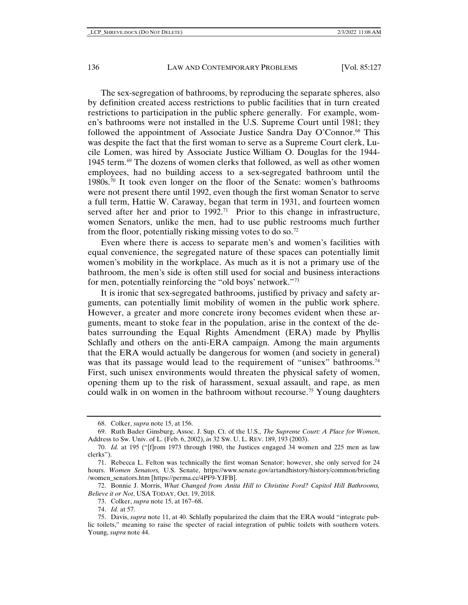The sex-segregation of bathrooms, by reproducing the separate spheres, also by definition created access restrictions to public facilities that in turn created restrictions to participation in the public sphere generally. For example, women's bathrooms were not installed in the U.S. Supreme Court until 1981; they followed the appointment of Associate Justice Sandra Day O'Connor.[68](#page-9-0) This was despite the fact that the first woman to serve as a Supreme Court clerk, Lucile Lomen, was hired by Associate Justice William O. Douglas for the 1944- 1945 term.<sup>[69](#page-9-1)</sup> The dozens of women clerks that followed, as well as other women employees, had no building access to a sex-segregated bathroom until the  $1980s$ <sup>70</sup> It took even longer on the floor of the Senate: women's bathrooms were not present there until 1992, even though the first woman Senator to serve a full term, Hattie W. Caraway, began that term in 1931, and fourteen women served after her and prior to  $1992$ <sup>71</sup> Prior to this change in infrastructure, women Senators, unlike the men, had to use public restrooms much further from the floor, potentially risking missing votes to do so.<sup>[72](#page-9-4)</sup>

Even where there is access to separate men's and women's facilities with equal convenience, the segregated nature of these spaces can potentially limit women's mobility in the workplace. As much as it is not a primary use of the bathroom, the men's side is often still used for social and business interactions for men, potentially reinforcing the "old boys' network."[73](#page-9-5)

It is ironic that sex-segregated bathrooms, justified by privacy and safety arguments, can potentially limit mobility of women in the public work sphere. However, a greater and more concrete irony becomes evident when these arguments, meant to stoke fear in the population, arise in the context of the debates surrounding the Equal Rights Amendment (ERA) made by Phyllis Schlafly and others on the anti-ERA campaign. Among the main arguments that the ERA would actually be dangerous for women (and society in general) was that its passage would lead to the requirement of "unisex" bathrooms.<sup>74</sup> First, such unisex environments would threaten the physical safety of women, opening them up to the risk of harassment, sexual assault, and rape, as men could walk in on women in the bathroom without recourse.<sup>[75](#page-9-7)</sup> Young daughters

74. *Id.* at 57.

<sup>68.</sup> Colker, *supra* note 15, at 156.

<span id="page-9-1"></span><span id="page-9-0"></span><sup>69.</sup> Ruth Bader Ginsburg, Assoc. J. Sup. Ct. of the U.S., *The Supreme Court: A Place for Women*, Address to Sw. Univ. of L. (Feb. 6, 2002), *in* 32 SW. U. L. REV. 189, 193 (2003).

<span id="page-9-2"></span><sup>70.</sup> *Id.* at 195 ("[f]rom 1973 through 1980, the Justices engaged 34 women and 225 men as law clerks").

<span id="page-9-3"></span><sup>71.</sup> Rebecca L. Felton was technically the first woman Senator; however, she only served for 24 hours. *Women Senators,* U.S. Senate, https://www.senate.gov/artandhistory/history/common/briefing /women\_senators.htm [https://perma.cc/4PF9-YJFB].

<span id="page-9-4"></span><sup>72.</sup> Bonnie J. Morris, *What Changed from Anita Hill to Christine Ford? Capitol Hill Bathrooms, Believe it or Not*, USA TODAY, Oct. 19, 2018.

<sup>73.</sup> Colker, *supra* note 15, at 167–68.

<span id="page-9-7"></span><span id="page-9-6"></span><span id="page-9-5"></span><sup>75.</sup> Davis, *supra* note 11, at 40. Schlafly popularized the claim that the ERA would "integrate public toilets," meaning to raise the specter of racial integration of public toilets with southern voters. Young, *supra* note 44.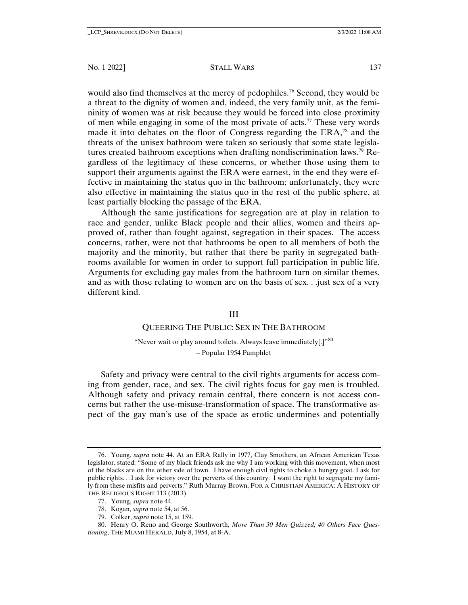would also find themselves at the mercy of pedophiles.<sup>[76](#page-10-0)</sup> Second, they would be a threat to the dignity of women and, indeed, the very family unit, as the femininity of women was at risk because they would be forced into close proximity of men while engaging in some of the most private of acts.[77](#page-10-1) These very words made it into debates on the floor of Congress regarding the ERA,<sup>[78](#page-10-2)</sup> and the threats of the unisex bathroom were taken so seriously that some state legislatures created bathroom exceptions when drafting nondiscrimination laws.<sup>79</sup> Regardless of the legitimacy of these concerns, or whether those using them to support their arguments against the ERA were earnest, in the end they were effective in maintaining the status quo in the bathroom; unfortunately, they were also effective in maintaining the status quo in the rest of the public sphere, at least partially blocking the passage of the ERA.

Although the same justifications for segregation are at play in relation to race and gender, unlike Black people and their allies, women and theirs approved of, rather than fought against, segregation in their spaces. The access concerns, rather, were not that bathrooms be open to all members of both the majority and the minority, but rather that there be parity in segregated bathrooms available for women in order to support full participation in public life. Arguments for excluding gay males from the bathroom turn on similar themes, and as with those relating to women are on the basis of sex. . .just sex of a very different kind.

## III

# QUEERING THE PUBLIC: SEX IN THE BATHROOM

"Never wait or play around toilets. Always leave immediately[.]"<sup>[80](#page-10-4)</sup> – Popular 1954 Pamphlet

Safety and privacy were central to the civil rights arguments for access coming from gender, race, and sex. The civil rights focus for gay men is troubled. Although safety and privacy remain central, there concern is not access concerns but rather the use-misuse-transformation of space. The transformative aspect of the gay man's use of the space as erotic undermines and potentially

- 78. Kogan, *supra* note [54,](#page-7-9) at 56.
- 79. Colker, *supra* note 15, at 159.

<span id="page-10-0"></span><sup>76.</sup> Young, *supra* note 44. At an ERA Rally in 1977, Clay Smothers, an African American Texas legislator, stated: "Some of my black friends ask me why I am working with this movement, when most of the blacks are on the other side of town. I have enough civil rights to choke a hungry goat. I ask for public rights. . .I ask for victory over the perverts of this country. I want the right to segregate my family from these misfits and perverts." Ruth Murray Brown, FOR A CHRISTIAN AMERICA: A HISTORY OF THE RELIGIOUS RIGHT 113 (2013).

<sup>77.</sup> Young, *supra* note 44.

<span id="page-10-4"></span><span id="page-10-3"></span><span id="page-10-2"></span><span id="page-10-1"></span><sup>80.</sup> Henry O. Reno and George Southworth, *More Than 30 Men Quizzed; 40 Others Face Questioning*, THE MIAMI HERALD, July 8, 1954, at 8-A.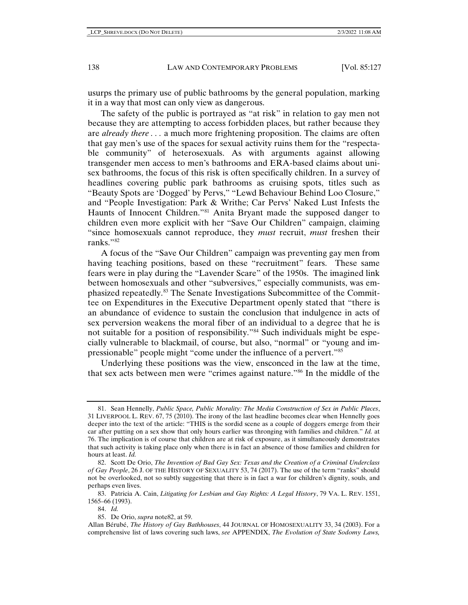usurps the primary use of public bathrooms by the general population, marking it in a way that most can only view as dangerous.

The safety of the public is portrayed as "at risk" in relation to gay men not because they are attempting to access forbidden places, but rather because they are *already there . . .* a much more frightening proposition. The claims are often that gay men's use of the spaces for sexual activity ruins them for the "respectable community" of heterosexuals. As with arguments against allowing transgender men access to men's bathrooms and ERA-based claims about unisex bathrooms, the focus of this risk is often specifically children. In a survey of headlines covering public park bathrooms as cruising spots, titles such as "Beauty Spots are 'Dogged' by Pervs," "Lewd Behaviour Behind Loo Closure," and "People Investigation: Park & Writhe; Car Pervs' Naked Lust Infests the Haunts of Innocent Children."[81](#page-11-0) Anita Bryant made the supposed danger to children even more explicit with her "Save Our Children" campaign, claiming "since homosexuals cannot reproduce, they *must* recruit, *must* freshen their ranks."[82](#page-11-1)

A focus of the "Save Our Children" campaign was preventing gay men from having teaching positions, based on these "recruitment" fears. These same fears were in play during the "Lavender Scare" of the 1950s. The imagined link between homosexuals and other "subversives," especially communists, was emphasized repeatedly.[83](#page-11-2) The Senate Investigations Subcommittee of the Committee on Expenditures in the Executive Department openly stated that "there is an abundance of evidence to sustain the conclusion that indulgence in acts of sex perversion weakens the moral fiber of an individual to a degree that he is not suitable for a position of responsibility."[84](#page-11-3) Such individuals might be especially vulnerable to blackmail, of course, but also, "normal" or "young and impressionable" people might "come under the influence of a pervert."[85](#page-11-4)

Underlying these positions was the view, ensconced in the law at the time, that sex acts between men were "crimes against nature."[86](#page-11-5) In the middle of the

<span id="page-11-0"></span><sup>81.</sup> Sean Hennelly, *Public Space, Public Morality: The Media Construction of Sex in Public Places*, 31 LIVERPOOL L. REV. 67, 75 (2010). The irony of the last headline becomes clear when Hennelly goes deeper into the text of the article: "THIS is the sordid scene as a couple of doggers emerge from their car after putting on a sex show that only hours earlier was thronging with families and children." *Id.* at 76. The implication is of course that children are at risk of exposure, as it simultaneously demonstrates that such activity is taking place only when there is in fact an absence of those families and children for hours at least. *Id.*

<span id="page-11-1"></span><sup>82.</sup> Scott De Orio, *The Invention of Bad Gay Sex: Texas and the Creation of a Criminal Underclass of Gay People*, 26 J. OF THE HISTORY OF SEXUALITY 53, 74 (2017). The use of the term "ranks" should not be overlooked, not so subtly suggesting that there is in fact a war for children's dignity, souls, and perhaps even lives.

<span id="page-11-3"></span><span id="page-11-2"></span><sup>83.</sup> Patricia A. Cain, *Litigating for Lesbian and Gay Rights: A Legal History*, 79 VA. L. REV. 1551, 1565–66 (1993).

<sup>84.</sup> *Id.*

<sup>85.</sup> De Orio, *supra* note82, at 59.

<span id="page-11-5"></span><span id="page-11-4"></span>Allan Bérubé, *The History of Gay Bathhouses*, 44 JOURNAL OF HOMOSEXUALITY 33, 34 (2003). For a comprehensive list of laws covering such laws, *see* APPENDIX, *The Evolution of State Sodomy Laws,*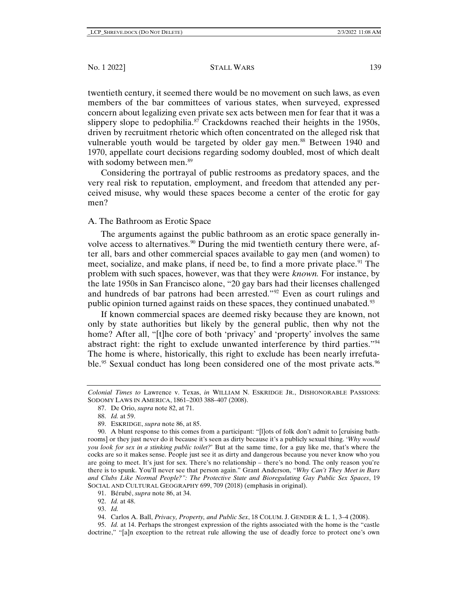twentieth century, it seemed there would be no movement on such laws, as even members of the bar committees of various states, when surveyed, expressed concern about legalizing even private sex acts between men for fear that it was a slippery slope to pedophilia.<sup>[87](#page-12-0)</sup> Crackdowns reached their heights in the 1950s, driven by recruitment rhetoric which often concentrated on the alleged risk that vulnerable youth would be targeted by older gay men.<sup>[88](#page-12-1)</sup> Between 1940 and 1970, appellate court decisions regarding sodomy doubled, most of which dealt with sodomy between men.<sup>[89](#page-12-2)</sup>

Considering the portrayal of public restrooms as predatory spaces, and the very real risk to reputation, employment, and freedom that attended any perceived misuse, why would these spaces become a center of the erotic for gay men?

# A. The Bathroom as Erotic Space

The arguments against the public bathroom as an erotic space generally in-volve access to alternatives.<sup>[90](#page-12-3)</sup> During the mid twentieth century there were, after all, bars and other commercial spaces available to gay men (and women) to meet, socialize, and make plans, if need be, to find a more private place. <sup>[91](#page-12-4)</sup> The problem with such spaces, however, was that they were *known.* For instance, by the late 1950s in San Francisco alone, "20 gay bars had their licenses challenged and hundreds of bar patrons had been arrested."[92](#page-12-5) Even as court rulings and public opinion turned against raids on these spaces, they continued unabated.<sup>[93](#page-12-6)</sup>

If known commercial spaces are deemed risky because they are known, not only by state authorities but likely by the general public, then why not the home? After all, "[t]he core of both 'privacy' and 'property' involves the same abstract right: the right to exclude unwanted interference by third parties.["94](#page-12-7) The home is where, historically, this right to exclude has been nearly irrefuta-ble.<sup>[95](#page-12-8)</sup> Sexual conduct has long been considered one of the most private acts.<sup>[96](#page-12-3)</sup>

<span id="page-12-8"></span><span id="page-12-7"></span><span id="page-12-6"></span><span id="page-12-5"></span><span id="page-12-4"></span>95. *Id.* at 14. Perhaps the strongest expression of the rights associated with the home is the "castle doctrine," "[a]n exception to the retreat rule allowing the use of deadly force to protect one's own

<span id="page-12-0"></span>*Colonial Times to* Lawrence v. Texas, *in* WILLIAM N. ESKRIDGE JR., DISHONORABLE PASSIONS: SODOMY LAWS IN AMERICA, 1861–2003 388–407 (2008).

<sup>87.</sup> De Orio, *supra* note 82, at 71.

<span id="page-12-9"></span><sup>88.</sup> *Id.* at 59.

<sup>89.</sup> ESKRIDGE, *supra* note 86, at 85.

<span id="page-12-3"></span><span id="page-12-2"></span><span id="page-12-1"></span><sup>90.</sup> A blunt response to this comes from a participant: "[l]ots of folk don't admit to [cruising bathrooms] or they just never do it because it's seen as dirty because it's a publicly sexual thing. '*Why would you look for sex in a stinking public toilet?*' But at the same time, for a guy like me, that's where the cocks are so it makes sense. People just see it as dirty and dangerous because you never know who you are going to meet. It's just for sex. There's no relationship – there's no bond. The only reason you're there is to spunk. You'll never see that person again." Grant Anderson, *"Why Can't They Meet in Bars and Clubs Like Normal People?": The Protective State and Bioregulating Gay Public Sex Spaces*, 19 SOCIAL AND CULTURAL GEOGRAPHY 699, 709 (2018) (emphasis in original).

<sup>91.</sup> Bérubé, *supra* note 86, at 34.

<sup>92.</sup> *Id.* at 48.

<sup>93.</sup> *Id.*

<sup>94.</sup> Carlos A. Ball, *Privacy, Property, and Public Sex*, 18 COLUM. J. GENDER & L. 1, 3–4 (2008).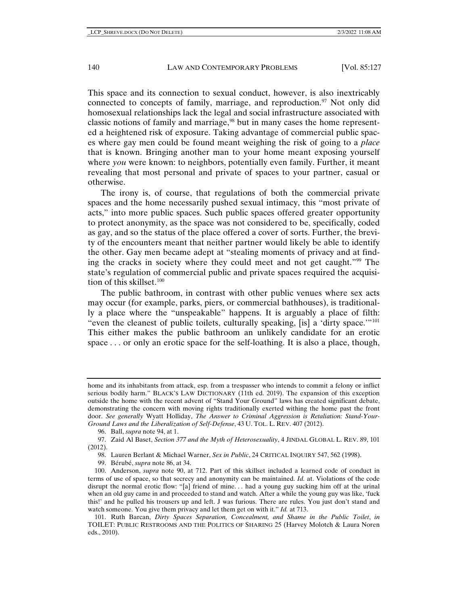This space and its connection to sexual conduct, however, is also inextricably connected to concepts of family, marriage, and reproduction.<sup>[97](#page-13-0)</sup> Not only did homosexual relationships lack the legal and social infrastructure associated with classic notions of family and marriage[,98](#page-13-1) but in many cases the home represented a heightened risk of exposure. Taking advantage of commercial public spaces where gay men could be found meant weighing the risk of going to a *place* that is known. Bringing another man to your home meant exposing yourself where *you* were known: to neighbors, potentially even family. Further, it meant revealing that most personal and private of spaces to your partner, casual or otherwise.

The irony is, of course, that regulations of both the commercial private spaces and the home necessarily pushed sexual intimacy, this "most private of acts," into more public spaces. Such public spaces offered greater opportunity to protect anonymity, as the space was not considered to be, specifically, coded as gay, and so the status of the place offered a cover of sorts. Further, the brevity of the encounters meant that neither partner would likely be able to identify the other. Gay men became adept at "stealing moments of privacy and at finding the cracks in society where they could meet and not get caught.["99](#page-13-2) The state's regulation of commercial public and private spaces required the acquisition of this skillset. $100$ 

The public bathroom, in contrast with other public venues where sex acts may occur (for example, parks, piers, or commercial bathhouses), is traditionally a place where the "unspeakable" happens. It is arguably a place of filth: "even the cleanest of public toilets, culturally speaking, [is] a 'dirty space.'"[101](#page-13-4) This either makes the public bathroom an unlikely candidate for an erotic space . . . or only an erotic space for the self-loathing. It is also a place, though,

96. Ball, *supra* not[e 94,](#page-12-9) at 1.

<span id="page-13-1"></span><span id="page-13-0"></span>97. Zaid Al Baset, *Section 377 and the Myth of Heterosexuality*, 4 JINDAL GLOBAL L. REV. 89, 101 (2012).

98. Lauren Berlant & Michael Warner, *Sex in Public*, 24 CRITICAL INQUIRY 547, 562 (1998).

99. Bérubé, *supra* note 86, at 34.

home and its inhabitants from attack, esp. from a trespasser who intends to commit a felony or inflict serious bodily harm." BLACK'S LAW DICTIONARY (11th ed. 2019). The expansion of this exception outside the home with the recent advent of "Stand Your Ground" laws has created significant debate, demonstrating the concern with moving rights traditionally exerted withing the home past the front door. *See generally* Wyatt Holliday, *The Answer to Criminal Aggression is Retaliation: Stand-Your-Ground Laws and the Liberalization of Self-Defense*, 43 U. TOL. L. REV. 407 (2012).

<span id="page-13-3"></span><span id="page-13-2"></span><sup>100.</sup> Anderson, *supra* note 90, at 712. Part of this skillset included a learned code of conduct in terms of use of space, so that secrecy and anonymity can be maintained. *Id.* at. Violations of the code disrupt the normal erotic flow: "[a] friend of mine. . . had a young guy sucking him off at the urinal when an old guy came in and proceeded to stand and watch. After a while the young guy was like, 'fuck this!' and he pulled his trousers up and left. J was furious. There are rules. You just don't stand and watch someone. You give them privacy and let them get on with it." *Id.* at 713.

<span id="page-13-4"></span><sup>101.</sup> Ruth Barcan, *Dirty Spaces Separation, Concealment, and Shame in the Public Toilet*, *in* TOILET: PUBLIC RESTROOMS AND THE POLITICS OF SHARING 25 (Harvey Molotch & Laura Noren eds., 2010).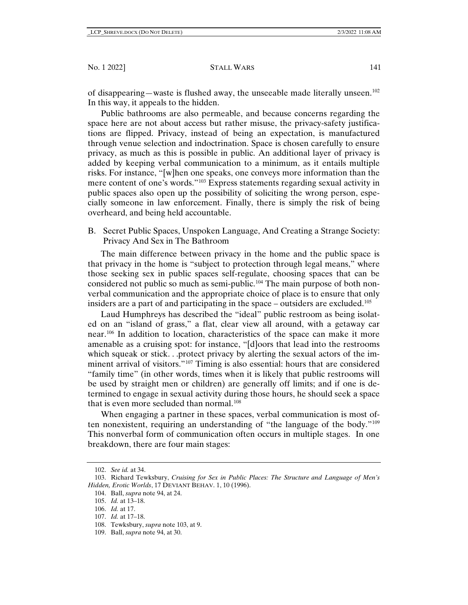of disappearing—waste is flushed away, the unseeable made literally unseen.[102](#page-14-0) In this way, it appeals to the hidden.

Public bathrooms are also permeable, and because concerns regarding the space here are not about access but rather misuse, the privacy-safety justifications are flipped. Privacy, instead of being an expectation, is manufactured through venue selection and indoctrination. Space is chosen carefully to ensure privacy, as much as this is possible in public. An additional layer of privacy is added by keeping verbal communication to a minimum, as it entails multiple risks. For instance, "[w]hen one speaks, one conveys more information than the mere content of one's words."[103](#page-14-1) Express statements regarding sexual activity in public spaces also open up the possibility of soliciting the wrong person, especially someone in law enforcement. Finally, there is simply the risk of being overheard, and being held accountable.

B. Secret Public Spaces, Unspoken Language, And Creating a Strange Society: Privacy And Sex in The Bathroom

The main difference between privacy in the home and the public space is that privacy in the home is "subject to protection through legal means," where those seeking sex in public spaces self-regulate, choosing spaces that can be considered not public so much as semi-public.[104](#page-14-2) The main purpose of both nonverbal communication and the appropriate choice of place is to ensure that only insiders are a part of and participating in the space – outsiders are excluded.<sup>[105](#page-14-3)</sup>

Laud Humphreys has described the "ideal" public restroom as being isolated on an "island of grass," a flat, clear view all around, with a getaway car near.[106](#page-14-4) In addition to location, characteristics of the space can make it more amenable as a cruising spot: for instance, "[d]oors that lead into the restrooms which squeak or stick. . .protect privacy by alerting the sexual actors of the imminent arrival of visitors."[107](#page-14-5) Timing is also essential: hours that are considered "family time" (in other words, times when it is likely that public restrooms will be used by straight men or children) are generally off limits; and if one is determined to engage in sexual activity during those hours, he should seek a space that is even more secluded than normal.<sup>[108](#page-14-6)</sup>

When engaging a partner in these spaces, verbal communication is most often nonexistent, requiring an understanding of "the language of the body."[109](#page-14-7)  This nonverbal form of communication often occurs in multiple stages. In one breakdown, there are four main stages:

<sup>102.</sup> *See id.* at 34.

<span id="page-14-4"></span><span id="page-14-3"></span><span id="page-14-2"></span><span id="page-14-1"></span><span id="page-14-0"></span><sup>103.</sup> Richard Tewksbury, *Cruising for Sex in Public Places: The Structure and Language of Men's Hidden, Erotic Worlds*, 17 DEVIANT BEHAV. 1, 10 (1996).

<sup>104.</sup> Ball, *supra* note 94, at 24.

<sup>105.</sup> *Id.* at 13–18.

<sup>106.</sup> *Id.* at 17.

<span id="page-14-5"></span><sup>107.</sup> *Id.* at 17–18.

<span id="page-14-6"></span><sup>108.</sup> Tewksbury, *supra* note 103, at 9.

<span id="page-14-7"></span><sup>109.</sup> Ball, *supra* note 94, at 30.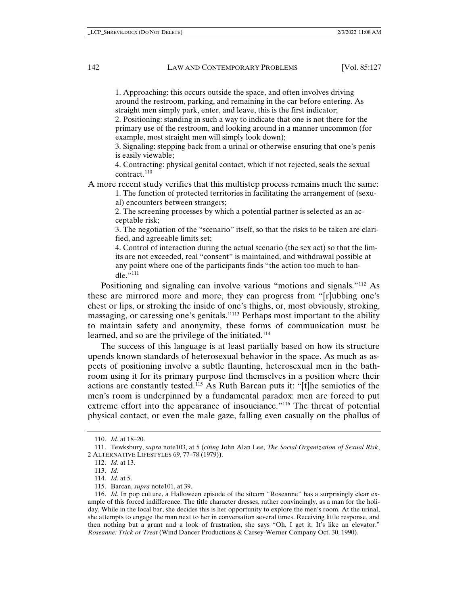1. Approaching: this occurs outside the space, and often involves driving around the restroom, parking, and remaining in the car before entering. As straight men simply park, enter, and leave, this is the first indicator;

2. Positioning: standing in such a way to indicate that one is not there for the primary use of the restroom, and looking around in a manner uncommon (for example, most straight men will simply look down);

3. Signaling: stepping back from a urinal or otherwise ensuring that one's penis is easily viewable;

4. Contracting: physical genital contact, which if not rejected, seals the sexual contract.<sup>[110](#page-15-0)</sup>

A more recent study verifies that this multistep process remains much the same:

1. The function of protected territories in facilitating the arrangement of (sexual) encounters between strangers;

2. The screening processes by which a potential partner is selected as an acceptable risk;

3. The negotiation of the "scenario" itself, so that the risks to be taken are clarified, and agreeable limits set;

4. Control of interaction during the actual scenario (the sex act) so that the limits are not exceeded, real "consent" is maintained, and withdrawal possible at any point where one of the participants finds "the action too much to handle." $^{111}$  $^{111}$  $^{111}$ 

Positioning and signaling can involve various "motions and signals."[112](#page-15-2) As these are mirrored more and more, they can progress from "[r]ubbing one's chest or lips, or stroking the inside of one's thighs, or, most obviously, stroking, massaging, or caressing one's genitals."[113](#page-15-3) Perhaps most important to the ability to maintain safety and anonymity, these forms of communication must be learned, and so are the privilege of the initiated.<sup>[114](#page-15-4)</sup>

The success of this language is at least partially based on how its structure upends known standards of heterosexual behavior in the space. As much as aspects of positioning involve a subtle flaunting, heterosexual men in the bathroom using it for its primary purpose find themselves in a position where their actions are constantly tested.[115](#page-15-5) As Ruth Barcan puts it: "[t]he semiotics of the men's room is underpinned by a fundamental paradox: men are forced to put extreme effort into the appearance of insouciance."[116](#page-15-6) The threat of potential physical contact, or even the male gaze, falling even casually on the phallus of

<sup>110.</sup> *Id.* at 18–20.

<span id="page-15-3"></span><span id="page-15-2"></span><span id="page-15-1"></span><span id="page-15-0"></span><sup>111.</sup> Tewksbury, *supra* note103, at 5 (*citing* John Alan Lee, *The Social Organization of Sexual Risk*, 2 ALTERNATIVE LIFESTYLES 69, 77–78 (1979)).

<sup>112.</sup> *Id.* at 13.

<sup>113.</sup> *Id.*

<sup>114.</sup> *Id.* at 5.

<sup>115.</sup> Barcan, *supra* note101, at 39.

<span id="page-15-6"></span><span id="page-15-5"></span><span id="page-15-4"></span><sup>116.</sup> *Id.* In pop culture, a Halloween episode of the sitcom "Roseanne" has a surprisingly clear example of this forced indifference. The title character dresses, rather convincingly, as a man for the holiday. While in the local bar, she decides this is her opportunity to explore the men's room. At the urinal, she attempts to engage the man next to her in conversation several times. Receiving little response, and then nothing but a grunt and a look of frustration, she says "Oh, I get it. It's like an elevator." *Roseanne: Trick or Treat* (Wind Dancer Productions & Carsey-Werner Company Oct. 30, 1990).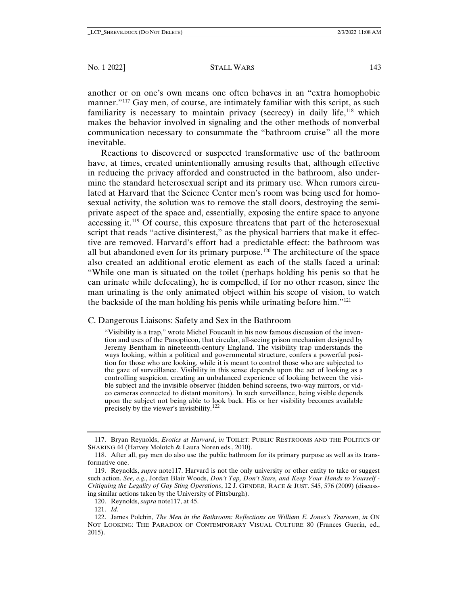another or on one's own means one often behaves in an "extra homophobic manner."<sup>[117](#page-16-0)</sup> Gay men, of course, are intimately familiar with this script, as such familiarity is necessary to maintain privacy (secrecy) in daily life,[118](#page-16-1) which makes the behavior involved in signaling and the other methods of nonverbal communication necessary to consummate the "bathroom cruise" all the more inevitable.

Reactions to discovered or suspected transformative use of the bathroom have, at times, created unintentionally amusing results that, although effective in reducing the privacy afforded and constructed in the bathroom, also undermine the standard heterosexual script and its primary use. When rumors circulated at Harvard that the Science Center men's room was being used for homosexual activity, the solution was to remove the stall doors, destroying the semiprivate aspect of the space and, essentially, exposing the entire space to anyone accessing it.[119](#page-16-2) Of course, this exposure threatens that part of the heterosexual script that reads "active disinterest," as the physical barriers that make it effective are removed. Harvard's effort had a predictable effect: the bathroom was all but abandoned even for its primary purpose.[120](#page-16-3) The architecture of the space also created an additional erotic element as each of the stalls faced a urinal: "While one man is situated on the toilet (perhaps holding his penis so that he can urinate while defecating), he is compelled, if for no other reason, since the man urinating is the only animated object within his scope of vision, to watch the backside of the man holding his penis while urinating before him."[121](#page-16-4)

C. Dangerous Liaisons: Safety and Sex in the Bathroom

"Visibility is a trap," wrote Michel Foucault in his now famous discussion of the invention and uses of the Panopticon, that circular, all-seeing prison mechanism designed by Jeremy Bentham in nineteenth-century England. The visibility trap understands the ways looking, within a political and governmental structure, confers a powerful position for those who are looking, while it is meant to control those who are subjected to the gaze of surveillance. Visibility in this sense depends upon the act of looking as a controlling suspicion, creating an unbalanced experience of looking between the visible subject and the invisible observer (hidden behind screens, two-way mirrors, or video cameras connected to distant monitors). In such surveillance, being visible depends upon the subject not being able to look back. His or her visibility becomes available precisely by the viewer's invisibility.[122](#page-16-5)

<span id="page-16-6"></span><span id="page-16-0"></span><sup>117.</sup> Bryan Reynolds, *Erotics at Harvard*, *in* TOILET: PUBLIC RESTROOMS AND THE POLITICS OF SHARING 44 (Harvey Molotch & Laura Noren eds., 2010).

<span id="page-16-1"></span><sup>118.</sup> After all, gay men do also use the public bathroom for its primary purpose as well as its transformative one.

<span id="page-16-2"></span><sup>119.</sup> Reynolds, *supra* note117. Harvard is not the only university or other entity to take or suggest such action. *See, e.g.*, Jordan Blair Woods, *Don't Tap, Don't Stare, and Keep Your Hands to Yourself - Critiquing the Legality of Gay Sting Operations*, 12 J. GENDER, RACE & JUST. 545, 576 (2009) (discussing similar actions taken by the University of Pittsburgh).

<sup>120.</sup> Reynolds, *supra* note117, at 45.

<sup>121.</sup> *Id.*

<span id="page-16-5"></span><span id="page-16-4"></span><span id="page-16-3"></span><sup>122.</sup> James Polchin, *The Men in the Bathroom: Reflections on William E. Jones's Tearoom*, *in* ON NOT LOOKING: THE PARADOX OF CONTEMPORARY VISUAL CULTURE 80 (Frances Guerin, ed., 2015).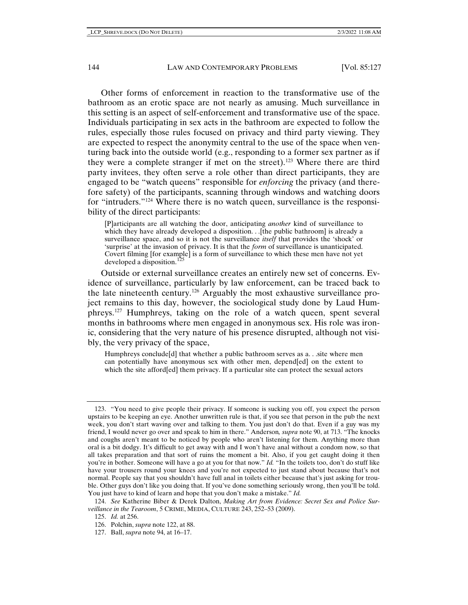Other forms of enforcement in reaction to the transformative use of the bathroom as an erotic space are not nearly as amusing. Much surveillance in this setting is an aspect of self-enforcement and transformative use of the space. Individuals participating in sex acts in the bathroom are expected to follow the rules, especially those rules focused on privacy and third party viewing. They are expected to respect the anonymity central to the use of the space when venturing back into the outside world (e.g., responding to a former sex partner as if they were a complete stranger if met on the street).[123](#page-17-0) Where there are third party invitees, they often serve a role other than direct participants, they are engaged to be "watch queens" responsible for *enforcing* the privacy (and therefore safety) of the participants, scanning through windows and watching doors for "intruders."[124](#page-17-1) Where there is no watch queen, surveillance is the responsibility of the direct participants:

<span id="page-17-5"></span>[P]articipants are all watching the door, anticipating *another* kind of surveillance to which they have already developed a disposition. . [the public bathroom] is already a surveillance space, and so it is not the surveillance *itself* that provides the 'shock' or 'surprise' at the invasion of privacy. It is that the *form* of surveillance is unanticipated. Covert filming [for example] is a form of surveillance to which these men have not yet developed a disposition.<sup>1</sup>

Outside or external surveillance creates an entirely new set of concerns. Evidence of surveillance, particularly by law enforcement, can be traced back to the late nineteenth century.[126](#page-17-3) Arguably the most exhaustive surveillance project remains to this day, however, the sociological study done by Laud Humphreys.[127](#page-17-4) Humphreys, taking on the role of a watch queen, spent several months in bathrooms where men engaged in anonymous sex. His role was ironic, considering that the very nature of his presence disrupted, although not visibly, the very privacy of the space,

Humphreys conclude[d] that whether a public bathroom serves as a. . .site where men can potentially have anonymous sex with other men, depend[ed] on the extent to which the site afford[ed] them privacy. If a particular site can protect the sexual actors

<span id="page-17-0"></span><sup>123.</sup> "You need to give people their privacy. If someone is sucking you off, you expect the person upstairs to be keeping an eye. Another unwritten rule is that, if you see that person in the pub the next week, you don't start waving over and talking to them. You just don't do that. Even if a guy was my friend, I would never go over and speak to him in there." Anderson*, supra* note 90, at 713. "The knocks and coughs aren't meant to be noticed by people who aren't listening for them. Anything more than oral is a bit dodgy. It's difficult to get away with and I won't have anal without a condom now, so that all takes preparation and that sort of ruins the moment a bit. Also, if you get caught doing it then you're in bother. Someone will have a go at you for that now." *Id.* "In the toilets too, don't do stuff like have your trousers round your knees and you're not expected to just stand about because that's not normal. People say that you shouldn't have full anal in toilets either because that's just asking for trouble. Other guys don't like you doing that. If you've done something seriously wrong, then you'll be told. You just have to kind of learn and hope that you don't make a mistake." *Id.*

<span id="page-17-4"></span><span id="page-17-3"></span><span id="page-17-2"></span><span id="page-17-1"></span><sup>124.</sup> *See* Katherine Biber & Derek Dalton, *Making Art from Evidence: Secret Sex and Police Surveillance in the Tearoom*, 5 CRIME, MEDIA, CULTURE 243, 252–53 (2009).

<sup>125.</sup> *Id.* at 256.

<sup>126.</sup> Polchin, *supra* not[e 122,](#page-16-6) at 88.

<sup>127.</sup> Ball, *supra* not[e 94,](#page-12-9) at 16–17.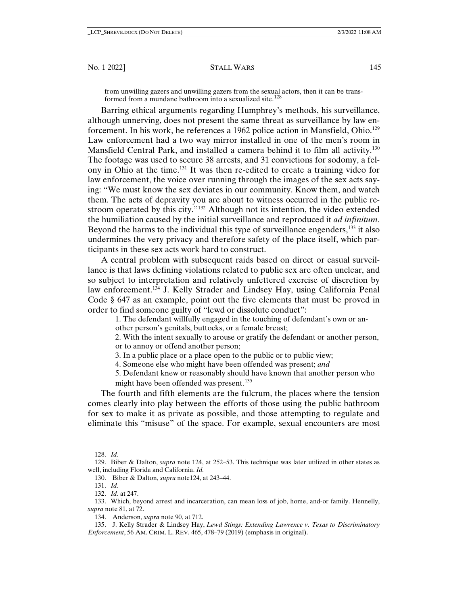from unwilling gazers and unwilling gazers from the sexual actors, then it can be trans-formed from a mundane bathroom into a sexualized site.<sup>[128](#page-18-0)</sup>

Barring ethical arguments regarding Humphrey's methods, his surveillance, although unnerving, does not present the same threat as surveillance by law en-forcement. In his work, he references a 1962 police action in Mansfield, Ohio.<sup>[129](#page-18-1)</sup> Law enforcement had a two way mirror installed in one of the men's room in Mansfield Central Park, and installed a camera behind it to film all activity.<sup>[130](#page-18-2)</sup> The footage was used to secure 38 arrests, and 31 convictions for sodomy, a felony in Ohio at the time.[131](#page-18-3) It was then re-edited to create a training video for law enforcement, the voice over running through the images of the sex acts saying: "We must know the sex deviates in our community. Know them, and watch them. The acts of depravity you are about to witness occurred in the public restroom operated by this city."[132](#page-18-4) Although not its intention, the video extended the humiliation caused by the initial surveillance and reproduced it *ad infinitum*. Beyond the harms to the individual this type of surveillance engenders, [133](#page-18-5) it also undermines the very privacy and therefore safety of the place itself, which participants in these sex acts work hard to construct.

A central problem with subsequent raids based on direct or casual surveillance is that laws defining violations related to public sex are often unclear, and so subject to interpretation and relatively unfettered exercise of discretion by law enforcement.<sup>[134](#page-18-6)</sup> J. Kelly Strader and Lindsey Hay, using California Penal Code § 647 as an example, point out the five elements that must be proved in order to find someone guilty of "lewd or dissolute conduct":

1. The defendant willfully engaged in the touching of defendant's own or an-

other person's genitals, buttocks, or a female breast;

2. With the intent sexually to arouse or gratify the defendant or another person, or to annoy or offend another person;

3. In a public place or a place open to the public or to public view;

4. Someone else who might have been offended was present; *and*

5. Defendant knew or reasonably should have known that another person who might have been offended was present.<sup>[135](#page-18-7)</sup>

The fourth and fifth elements are the fulcrum, the places where the tension comes clearly into play between the efforts of those using the public bathroom for sex to make it as private as possible, and those attempting to regulate and eliminate this "misuse" of the space. For example, sexual encounters are most

<sup>128.</sup> *Id.*

<span id="page-18-2"></span><span id="page-18-1"></span><span id="page-18-0"></span><sup>129.</sup> Biber & Dalton, *supra* note [124,](#page-17-5) at 252–53. This technique was later utilized in other states as well, including Florida and California. *Id.*

<sup>130.</sup> Biber & Dalton, *supra* note124, at 243–44.

<sup>131.</sup> *Id.*

<sup>132.</sup> *Id.* at 247.

<span id="page-18-6"></span><span id="page-18-5"></span><span id="page-18-4"></span><span id="page-18-3"></span><sup>133.</sup> Which, beyond arrest and incarceration, can mean loss of job, home, and-or family. Hennelly, *supra* note 81, at 72.

<sup>134.</sup> Anderson, *supra* note 90, at 712.

<span id="page-18-7"></span><sup>135.</sup> J. Kelly Strader & Lindsey Hay, *Lewd Stings: Extending Lawrence v. Texas to Discriminatory Enforcement*, 56 AM. CRIM. L. REV. 465, 478–79 (2019) (emphasis in original).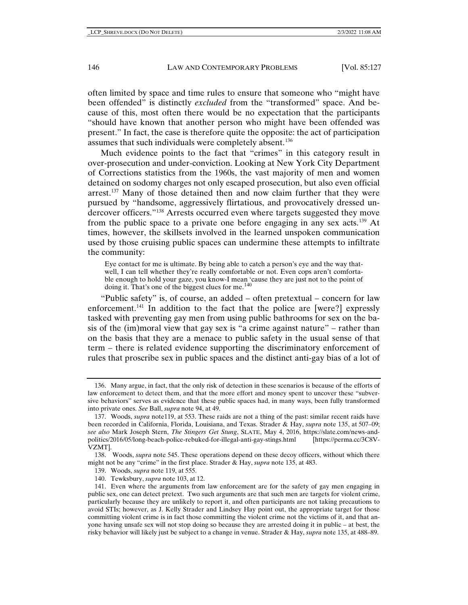often limited by space and time rules to ensure that someone who "might have been offended" is distinctly *excluded* from the "transformed" space. And because of this, most often there would be no expectation that the participants "should have known that another person who might have been offended was present." In fact, the case is therefore quite the opposite: the act of participation assumes that such individuals were completely absent.<sup>[136](#page-19-0)</sup>

Much evidence points to the fact that "crimes" in this category result in over-prosecution and under-conviction. Looking at New York City Department of Corrections statistics from the 1960s, the vast majority of men and women detained on sodomy charges not only escaped prosecution, but also even official arrest.<sup>[137](#page-19-1)</sup> Many of those detained then and now claim further that they were pursued by "handsome, aggressively flirtatious, and provocatively dressed undercover officers."[138](#page-19-2) Arrests occurred even where targets suggested they move from the public space to a private one before engaging in any sex acts.<sup>[139](#page-19-3)</sup> At times, however, the skillsets involved in the learned unspoken communication used by those cruising public spaces can undermine these attempts to infiltrate the community:

Eye contact for me is ultimate. By being able to catch a person's eye and the way thatwell, I can tell whether they're really comfortable or not. Even cops aren't comfortable enough to hold your gaze, you know-I mean 'cause they are just not to the point of doing it. That's one of the biggest clues for me. $140$ 

"Public safety" is, of course, an added – often pretextual – concern for law enforcement.<sup>[141](#page-19-5)</sup> In addition to the fact that the police are [were?] expressly tasked with preventing gay men from using public bathrooms for sex on the basis of the (im)moral view that gay sex is "a crime against nature" – rather than on the basis that they are a menace to public safety in the usual sense of that term – there is related evidence supporting the discriminatory enforcement of rules that proscribe sex in public spaces and the distinct anti-gay bias of a lot of

<span id="page-19-0"></span><sup>136.</sup> Many argue, in fact, that the only risk of detection in these scenarios is because of the efforts of law enforcement to detect them, and that the more effort and money spent to uncover these "subversive behaviors" serves as evidence that these public spaces had, in many ways, been fully transformed into private ones. *See* Ball, *supra* note 94, at 49.

<span id="page-19-1"></span><sup>137.</sup> Woods, *supra* note119, at 553. These raids are not a thing of the past: similar recent raids have been recorded in California, Florida, Louisiana, and Texas. Strader & Hay, *supra* note 135, at 507–09; *see also* Mark Joseph Stern, *The Stingers Get Stung*, SLATE, May 4, 2016, https://slate.com/news-andpolitics/2016/05/long-beach-police-rebuked-for-illegal-anti-gay-stings.html [https://perma.cc/3C8V-VZMT].

<span id="page-19-2"></span><sup>138.</sup> Woods, *supra* note 545. These operations depend on these decoy officers, without which there might not be any "crime" in the first place. Strader & Hay, *supra* note 135, at 483.

<sup>139.</sup> Woods, *supra* note 119, at 555.

<sup>140.</sup> Tewksbury, *supra* note 103, at 12.

<span id="page-19-5"></span><span id="page-19-4"></span><span id="page-19-3"></span><sup>141.</sup> Even where the arguments from law enforcement are for the safety of gay men engaging in public sex, one can detect pretext. Two such arguments are that such men are targets for violent crime, particularly because they are unlikely to report it, and often participants are not taking precautions to avoid STIs; however, as J. Kelly Strader and Lindsey Hay point out, the appropriate target for those committing violent crime is in fact those committing the violent crime not the victims of it, and that anyone having unsafe sex will not stop doing so because they are arrested doing it in public – at best, the risky behavior will likely just be subject to a change in venue. Strader & Hay, *supra* note 135, at 488–89.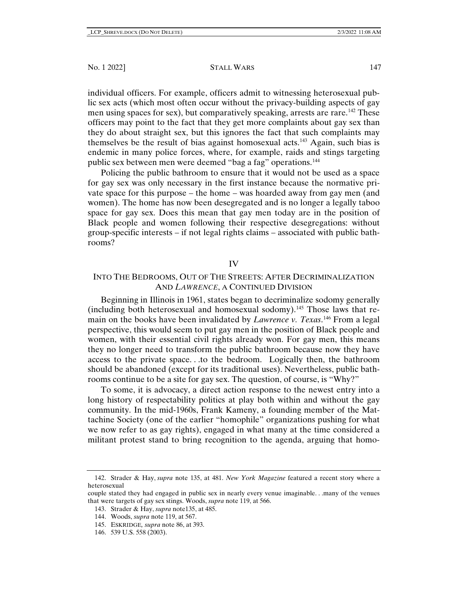#### No. 1 2022] STALL WARS 147

individual officers. For example, officers admit to witnessing heterosexual public sex acts (which most often occur without the privacy-building aspects of gay men using spaces for sex), but comparatively speaking, arrests are rare.<sup>[142](#page-20-0)</sup> These officers may point to the fact that they get more complaints about gay sex than they do about straight sex, but this ignores the fact that such complaints may themselves be the result of bias against homosexual acts.<sup>143</sup> Again, such bias is endemic in many police forces, where, for example, raids and stings targeting public sex between men were deemed "bag a fag" operations.[144](#page-20-2)

Policing the public bathroom to ensure that it would not be used as a space for gay sex was only necessary in the first instance because the normative private space for this purpose – the home – was hoarded away from gay men (and women). The home has now been desegregated and is no longer a legally taboo space for gay sex. Does this mean that gay men today are in the position of Black people and women following their respective desegregations: without group-specific interests – if not legal rights claims – associated with public bathrooms?

#### IV

# INTO THE BEDROOMS, OUT OF THE STREETS: AFTER DECRIMINALIZATION AND *LAWRENCE*, A CONTINUED DIVISION

Beginning in Illinois in 1961, states began to decriminalize sodomy generally (including both heterosexual and homosexual sodomy).<sup>[145](#page-20-3)</sup> Those laws that remain on the books have been invalidated by *Lawrence v. Texas*. [146](#page-20-4) From a legal perspective, this would seem to put gay men in the position of Black people and women, with their essential civil rights already won. For gay men, this means they no longer need to transform the public bathroom because now they have access to the private space. . .to the bedroom. Logically then, the bathroom should be abandoned (except for its traditional uses). Nevertheless, public bathrooms continue to be a site for gay sex. The question, of course, is "Why?"

To some, it is advocacy, a direct action response to the newest entry into a long history of respectability politics at play both within and without the gay community. In the mid-1960s, Frank Kameny, a founding member of the Mattachine Society (one of the earlier "homophile" organizations pushing for what we now refer to as gay rights), engaged in what many at the time considered a militant protest stand to bring recognition to the agenda, arguing that homo-

143. Strader & Hay, *supra* note135, at 485.

145. ESKRIDGE*, supra* note 86, at 393.

<span id="page-20-0"></span><sup>142.</sup> Strader & Hay, *supra* note 135, at 481. *New York Magazine* featured a recent story where a heterosexual

<span id="page-20-3"></span><span id="page-20-2"></span><span id="page-20-1"></span>couple stated they had engaged in public sex in nearly every venue imaginable. . .many of the venues that were targets of gay sex stings. Woods, *supra* note 119, at 566.

<sup>144.</sup> Woods, *supra* note 119, at 567.

<span id="page-20-4"></span><sup>146.</sup> 539 U.S. 558 (2003).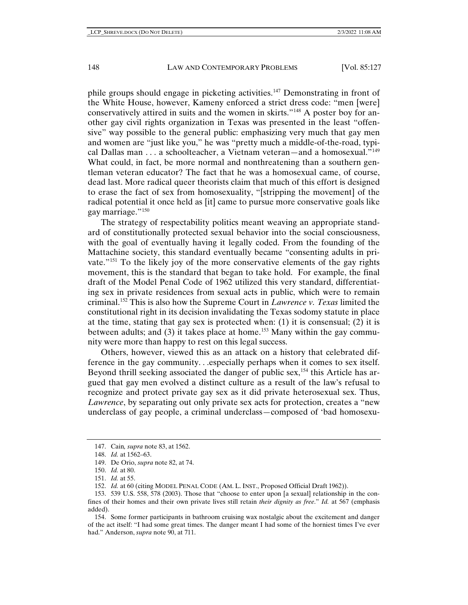phile groups should engage in picketing activities[.147](#page-21-0) Demonstrating in front of the White House, however, Kameny enforced a strict dress code: "men [were] conservatively attired in suits and the women in skirts."<sup>[148](#page-21-1)</sup> A poster boy for another gay civil rights organization in Texas was presented in the least "offensive" way possible to the general public: emphasizing very much that gay men and women are "just like you," he was "pretty much a middle-of-the-road, typical Dallas man . . . a schoolteacher, a Vietnam veteran—and a homosexual."[149](#page-21-2) What could, in fact, be more normal and nonthreatening than a southern gentleman veteran educator? The fact that he was a homosexual came, of course, dead last. More radical queer theorists claim that much of this effort is designed to erase the fact of sex from homosexuality, "[stripping the movement] of the radical potential it once held as [it] came to pursue more conservative goals like gay marriage."<sup>[150](#page-21-3)</sup>

The strategy of respectability politics meant weaving an appropriate standard of constitutionally protected sexual behavior into the social consciousness, with the goal of eventually having it legally coded. From the founding of the Mattachine society, this standard eventually became "consenting adults in private."[151](#page-21-4) To the likely joy of the more conservative elements of the gay rights movement, this is the standard that began to take hold. For example, the final draft of the Model Penal Code of 1962 utilized this very standard, differentiating sex in private residences from sexual acts in public, which were to remain criminal. [152](#page-21-5) This is also how the Supreme Court in *Lawrence v. Texas* limited the constitutional right in its decision invalidating the Texas sodomy statute in place at the time, stating that gay sex is protected when: (1) it is consensual; (2) it is between adults; and (3) it takes place at home.<sup>[153](#page-21-6)</sup> Many within the gay community were more than happy to rest on this legal success.

Others, however, viewed this as an attack on a history that celebrated difference in the gay community. . .especially perhaps when it comes to sex itself. Beyond thrill seeking associated the danger of public sex,<sup>154</sup> this Article has argued that gay men evolved a distinct culture as a result of the law's refusal to recognize and protect private gay sex as it did private heterosexual sex. Thus, *Lawrence*, by separating out only private sex acts for protection, creates a "new underclass of gay people, a criminal underclass—composed of 'bad homosexu-

<span id="page-21-0"></span><sup>147.</sup> Cain*, supra* note 83, at 1562.

<span id="page-21-1"></span><sup>148.</sup> *Id.* at 1562–63.

<sup>149.</sup> De Orio, *supra* note 82, at 74.

<sup>150.</sup> *Id.* at 80.

<sup>151.</sup> *Id.* at 55.

<sup>152.</sup> *Id.* at 60 (citing MODEL PENAL CODE (AM. L. INST., Proposed Official Draft 1962)).

<span id="page-21-6"></span><span id="page-21-5"></span><span id="page-21-4"></span><span id="page-21-3"></span><span id="page-21-2"></span><sup>153.</sup> 539 U.S. 558, 578 (2003). Those that "choose to enter upon [a sexual] relationship in the confines of their homes and their own private lives still retain *their dignity as free*." *Id.* at 567 (emphasis added).

<span id="page-21-7"></span><sup>154.</sup> Some former participants in bathroom cruising wax nostalgic about the excitement and danger of the act itself: "I had some great times. The danger meant I had some of the horniest times I've ever had." Anderson, *supra* note 90, at 711.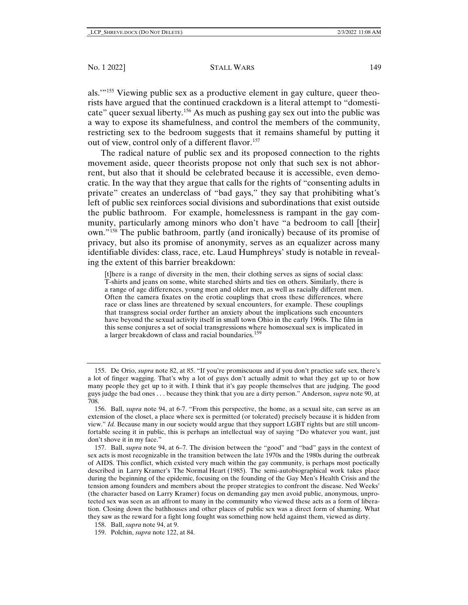als.'"[155](#page-22-0) Viewing public sex as a productive element in gay culture, queer theorists have argued that the continued crackdown is a literal attempt to "domesticate" queer sexual liberty.[156](#page-22-1) As much as pushing gay sex out into the public was a way to expose its shamefulness, and control the members of the community, restricting sex to the bedroom suggests that it remains shameful by putting it out of view, control only of a different flavor.<sup>[157](#page-22-2)</sup>

The radical nature of public sex and its proposed connection to the rights movement aside, queer theorists propose not only that such sex is not abhorrent, but also that it should be celebrated because it is accessible, even democratic. In the way that they argue that calls for the rights of "consenting adults in private" creates an underclass of "bad gays," they say that prohibiting what's left of public sex reinforces social divisions and subordinations that exist outside the public bathroom. For example, homelessness is rampant in the gay community, particularly among minors who don't have "a bedroom to call [their] own."[158](#page-22-3) The public bathroom, partly (and ironically) because of its promise of privacy, but also its promise of anonymity, serves as an equalizer across many identifiable divides: class, race, etc. Laud Humphreys' study is notable in revealing the extent of this barrier breakdown:

[t]here is a range of diversity in the men, their clothing serves as signs of social class: T-shirts and jeans on some, white starched shirts and ties on others. Similarly, there is a range of age differences, young men and older men, as well as racially different men. Often the camera fixates on the erotic couplings that cross these differences, where race or class lines are threatened by sexual encounters, for example. These couplings that transgress social order further an anxiety about the implications such encounters have beyond the sexual activity itself in small town Ohio in the early 1960s. The film in this sense conjures a set of social transgressions where homosexual sex is implicated in a larger breakdown of class and racial boundaries.<sup>[159](#page-22-4)</sup>

<span id="page-22-2"></span>157. Ball, *supra* note 94, at 6–7. The division between the "good" and "bad" gays in the context of sex acts is most recognizable in the transition between the late 1970s and the 1980s during the outbreak of AIDS. This conflict, which existed very much within the gay community, is perhaps most poetically described in Larry Kramer's The Normal Heart (1985). The semi-autobiographical work takes place during the beginning of the epidemic, focusing on the founding of the Gay Men's Health Crisis and the tension among founders and members about the proper strategies to confront the disease. Ned Weeks' (the character based on Larry Kramer) focus on demanding gay men avoid public, anonymous, unprotected sex was seen as an affront to many in the community who viewed these acts as a form of liberation. Closing down the bathhouses and other places of public sex was a direct form of shaming. What they saw as the reward for a fight long fought was something now held against them, viewed as dirty.

<span id="page-22-0"></span><sup>155.</sup> De Orio, *supra* note 82, at 85. "If you're promiscuous and if you don't practice safe sex, there's a lot of finger wagging. That's why a lot of guys don't actually admit to what they get up to or how many people they get up to it with. I think that it's gay people themselves that are judging. The good guys judge the bad ones . . . because they think that you are a dirty person." Anderson, *supra* note 90, at 708.

<span id="page-22-1"></span><sup>156.</sup> Ball, *supra* note 94, at 6-7. "From this perspective, the home, as a sexual site, can serve as an extension of the closet, a place where sex is permitted (or tolerated) precisely because it is hidden from view." *Id.* Because many in our society would argue that they support LGBT rights but are still uncomfortable seeing it in public, this is perhaps an intellectual way of saying "Do whatever you want, just don't shove it in my face."

<span id="page-22-3"></span><sup>158.</sup> Ball, *supra* note 94, at 9.

<span id="page-22-4"></span><sup>159.</sup> Polchin, *supra* note 122, at 84.